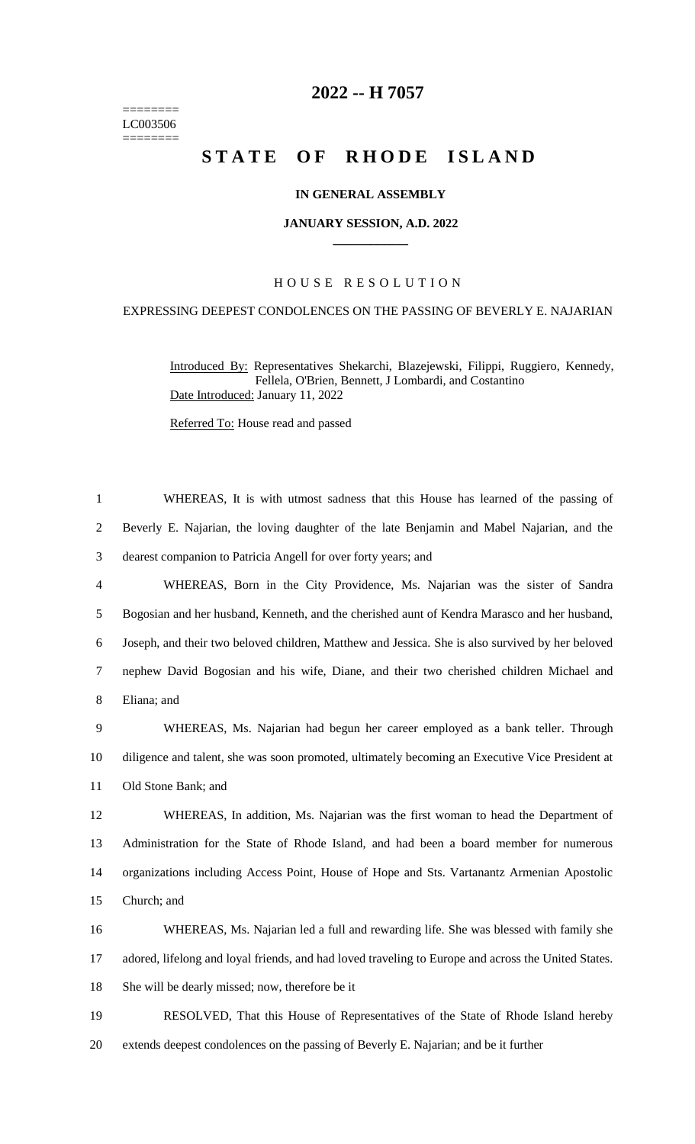======== LC003506 ========

# **-- H 7057**

# **STATE OF RHODE ISLAND**

## **IN GENERAL ASSEMBLY**

#### **JANUARY SESSION, A.D. 2022 \_\_\_\_\_\_\_\_\_\_\_\_**

# H O U S E R E S O L U T I O N

### EXPRESSING DEEPEST CONDOLENCES ON THE PASSING OF BEVERLY E. NAJARIAN

Introduced By: Representatives Shekarchi, Blazejewski, Filippi, Ruggiero, Kennedy, Fellela, O'Brien, Bennett, J Lombardi, and Costantino Date Introduced: January 11, 2022

Referred To: House read and passed

 WHEREAS, It is with utmost sadness that this House has learned of the passing of Beverly E. Najarian, the loving daughter of the late Benjamin and Mabel Najarian, and the dearest companion to Patricia Angell for over forty years; and WHEREAS, Born in the City Providence, Ms. Najarian was the sister of Sandra Bogosian and her husband, Kenneth, and the cherished aunt of Kendra Marasco and her husband, Joseph, and their two beloved children, Matthew and Jessica. She is also survived by her beloved nephew David Bogosian and his wife, Diane, and their two cherished children Michael and Eliana; and WHEREAS, Ms. Najarian had begun her career employed as a bank teller. Through diligence and talent, she was soon promoted, ultimately becoming an Executive Vice President at Old Stone Bank; and WHEREAS, In addition, Ms. Najarian was the first woman to head the Department of Administration for the State of Rhode Island, and had been a board member for numerous organizations including Access Point, House of Hope and Sts. Vartanantz Armenian Apostolic Church; and WHEREAS, Ms. Najarian led a full and rewarding life. She was blessed with family she adored, lifelong and loyal friends, and had loved traveling to Europe and across the United States. She will be dearly missed; now, therefore be it RESOLVED, That this House of Representatives of the State of Rhode Island hereby

extends deepest condolences on the passing of Beverly E. Najarian; and be it further